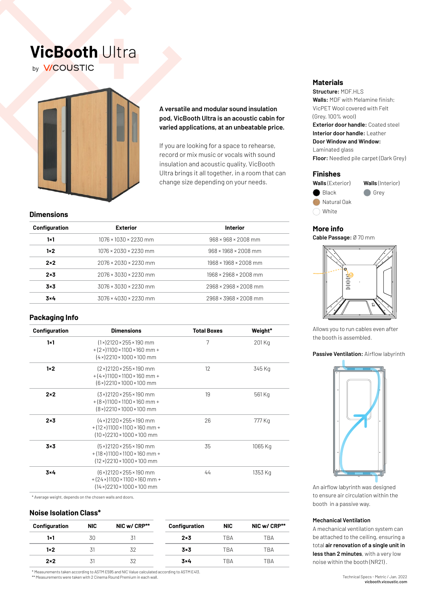# **VicBooth** Ultra by **V/COUSTIC**



## **A versatile and modular sound insulation pod, VicBooth Ultra is an acoustic cabin for varied applications, at an unbeatable price.**

If you are looking for a space to rehearse, record or mix music or vocals with sound insulation and acoustic quality, VicBooth Ultra brings it all together, in a room that can change size depending on your needs.

### **Dimensions**

| Configuration | <b>Exterior</b>                   | <b>Interior</b>                   |
|---------------|-----------------------------------|-----------------------------------|
| 1x1           | $1076 \times 1030 \times 2230$ mm | $968 \times 968 \times 2008$ mm   |
| $1 \times 2$  | 1076 × 2030 × 2230 mm             | $968 \times 1968 \times 2008$ mm  |
| $2\times 2$   | $2076 \times 2030 \times 2230$ mm | $1968 \times 1968 \times 2008$ mm |
| $2\times 3$   | $2076 \times 3030 \times 2230$ mm | $1968 \times 2968 \times 2008$ mm |
| $3\times 3$   | $3076 \times 3030 \times 2230$ mm | 2968 × 2968 × 2008 mm             |
| $3\times 4$   | $3076 \times 4030 \times 2230$ mm | 2968 × 3968 × 2008 mm             |
|               |                                   |                                   |

## **Packaging Info**

| Configuration | <b>Dimensions</b>                                                                                                                     | <b>Total Boxes</b> | Weight*<br>201 Kg |  |
|---------------|---------------------------------------------------------------------------------------------------------------------------------------|--------------------|-------------------|--|
| $1 \times 1$  | $(1 \times 2120 \times 255 \times 190$ mm<br>$+(2\times)1100\times1100\times160$ mm +<br>$(4 \times)$ 2210 × 1000 × 100 mm            | 7                  |                   |  |
| $1 \times 2$  | $(2 \times 2120 \times 255 \times 190$ mm<br>$+(4\times)1100\times1100\times160$ mm +<br>$(6 \times 2210 \times 1000 \times 100$ mm   | 12 <sup>°</sup>    | 345 Kg            |  |
| $2 \times 2$  | $(3 \times 2120 \times 255 \times 190$ mm<br>$+(8\times)1100\times1100\times160$ mm +<br>(8×)2210×1000×100 mm                         | 19                 | 561 Kg            |  |
| $2 \times 3$  | $(4 \times 2120 \times 255 \times 190$ mm<br>$+(12\times)1100\times1100\times160$ mm +<br>$(10 \times 2210 \times 1000 \times 100$ mm | 26                 | 777 Kg            |  |
| $3\times 3$   | $(5 \times 2120 \times 255 \times 190$ mm<br>35<br>$+(18\times)1100\times1100\times160$ mm +<br>$(12 \times)$ 2210 × 1000 × 100 mm    |                    | 1065 Kg           |  |
| $3\times 4$   | $(6 \times 2120 \times 255 \times 190$ mm<br>$+(24\times)1100\times1100\times160$ mm +<br>$(14 \times 2210 \times 1000 \times 100$ mm | 44                 | 1353 Kg           |  |

\* Average weight, depends on the chosen walls and doors.

# **Noise Isolation Class\***

| Configuration | <b>NIC</b> | NIC w/ CRP** | Configuration | <b>NIC</b> | NIC w/ CRP** |
|---------------|------------|--------------|---------------|------------|--------------|
| 1×1           | 30         |              | $2\times 3$   | TRA        | TBA          |
| $1 \times 2$  |            | 32           | $3\times3$    | TRA        | TBA          |
| $2 \times 2$  | 31         | 32           | $3\times 4$   | TRA        | TBA          |

\* Measurements taken according to ASTM E595 and NIC Value calculated according to ASTM E413. \*\* Measurements were taken with 2 Cinema Round Premium in each wall.

### **Materials**

**Structure:** MDF.HLS **Walls:** MDF with Melamine finish; VicPET Wool covered with Felt (Grey, 100% wool)

**Exterior door handle:** Coated steel **Interior door handle:** Leather **Door Window and Window:**

Laminated glass **Floor:** Needled pile carpet (Dark Grey)

### **Finishes**



### **More info**

**Cable Passage:** Ø 70 mm



Allows you to run cables even after the booth is assembled.

#### **Passive Ventilation:** Airflow labyrinth



An airflow labyrinth was designed to ensure air circulation within the booth in a passive way.

### **Mechanical Ventilation**

A mechanical ventilation system can be attached to the ceiling, ensuring a total **air renovation of a single unit in less than 2 minutes**, with a very low noise within the booth (NR21) .